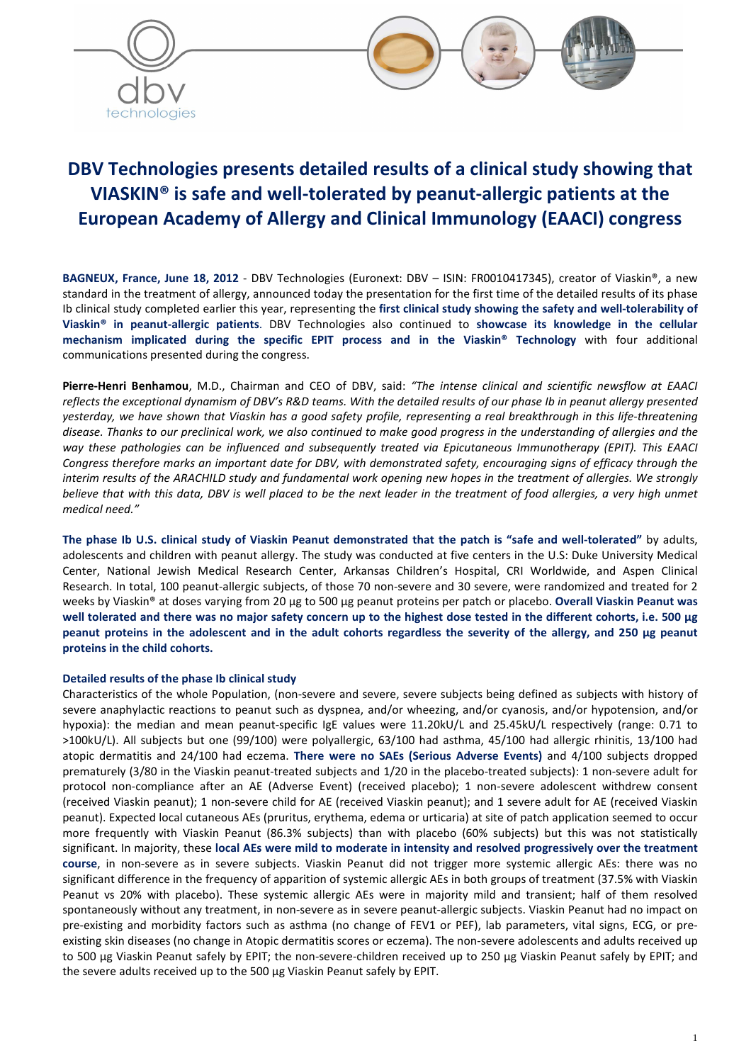

# **DBV Technologies presents detailed results of a clinical study showing that VIASKIN® is safe and well-tolerated by peanut-allergic patients at the European Academy of Allergy and Clinical Immunology (EAACI) congress**

**BAGNEUX, France, June 18, 2012** - DBV Technologies (Euronext: DBV – ISIN: FR0010417345), creator of Viaskin®, a new standard in the treatment of allergy, announced today the presentation for the first time of the detailed results of its phase Ib clinical study completed earlier this year, representing the **first clinical study showing the safety and well-tolerability of Viaskin® in peanut-allergic patients**. DBV Technologies also continued to **showcase its knowledge in the cellular mechanism implicated during the specific EPIT process and in the Viaskin® Technology** with four additional communications presented during the congress.

**Pierre-Henri Benhamou**, M.D., Chairman and CEO of DBV, said: *"The intense clinical and scientific newsflow at EAACI reflects the exceptional dynamism of DBV's R&D teams. With the detailed results of our phase Ib in peanut allergy presented yesterday, we have shown that Viaskin has a good safety profile, representing a real breakthrough in this life-threatening disease. Thanks to our preclinical work, we also continued to make good progress in the understanding of allergies and the way these pathologies can be influenced and subsequently treated via Epicutaneous Immunotherapy (EPIT). This EAACI Congress therefore marks an important date for DBV, with demonstrated safety, encouraging signs of efficacy through the interim results of the ARACHILD study and fundamental work opening new hopes in the treatment of allergies. We strongly*  believe that with this data, DBV is well placed to be the next leader in the treatment of food allergies, a very high unmet *medical need."* 

**The phase Ib U.S. clinical study of Viaskin Peanut demonstrated that the patch is "safe and well-tolerated"** by adults, adolescents and children with peanut allergy. The study was conducted at five centers in the U.S: Duke University Medical Center, National Jewish Medical Research Center, Arkansas Children's Hospital, CRI Worldwide, and Aspen Clinical Research. In total, 100 peanut-allergic subjects, of those 70 non-severe and 30 severe, were randomized and treated for 2 weeks by Viaskin® at doses varying from 20 µg to 500 µg peanut proteins per patch or placebo. **Overall Viaskin Peanut was well tolerated and there was no major safety concern up to the highest dose tested in the different cohorts, i.e. 500 µg peanut proteins in the adolescent and in the adult cohorts regardless the severity of the allergy, and 250 µg peanut proteins in the child cohorts.** 

## **Detailed results of the phase Ib clinical study**

Characteristics of the whole Population, (non-severe and severe, severe subjects being defined as subjects with history of severe anaphylactic reactions to peanut such as dyspnea, and/or wheezing, and/or cyanosis, and/or hypotension, and/or hypoxia): the median and mean peanut-specific IgE values were 11.20kU/L and 25.45kU/L respectively (range: 0.71 to >100kU/L). All subjects but one (99/100) were polyallergic, 63/100 had asthma, 45/100 had allergic rhinitis, 13/100 had atopic dermatitis and 24/100 had eczema. **There were no SAEs (Serious Adverse Events)** and 4/100 subjects dropped prematurely (3/80 in the Viaskin peanut-treated subjects and 1/20 in the placebo-treated subjects): 1 non-severe adult for protocol non-compliance after an AE (Adverse Event) (received placebo); 1 non-severe adolescent withdrew consent (received Viaskin peanut); 1 non-severe child for AE (received Viaskin peanut); and 1 severe adult for AE (received Viaskin peanut). Expected local cutaneous AEs (pruritus, erythema, edema or urticaria) at site of patch application seemed to occur more frequently with Viaskin Peanut (86.3% subjects) than with placebo (60% subjects) but this was not statistically significant. In majority, these **local AEs were mild to moderate in intensity and resolved progressively over the treatment course**, in non-severe as in severe subjects. Viaskin Peanut did not trigger more systemic allergic AEs: there was no significant difference in the frequency of apparition of systemic allergic AEs in both groups of treatment (37.5% with Viaskin Peanut vs 20% with placebo). These systemic allergic AEs were in majority mild and transient; half of them resolved spontaneously without any treatment, in non-severe as in severe peanut-allergic subjects. Viaskin Peanut had no impact on pre-existing and morbidity factors such as asthma (no change of FEV1 or PEF), lab parameters, vital signs, ECG, or preexisting skin diseases (no change in Atopic dermatitis scores or eczema). The non-severe adolescents and adults received up to 500 µg Viaskin Peanut safely by EPIT; the non-severe-children received up to 250 µg Viaskin Peanut safely by EPIT; and the severe adults received up to the 500 µg Viaskin Peanut safely by EPIT.